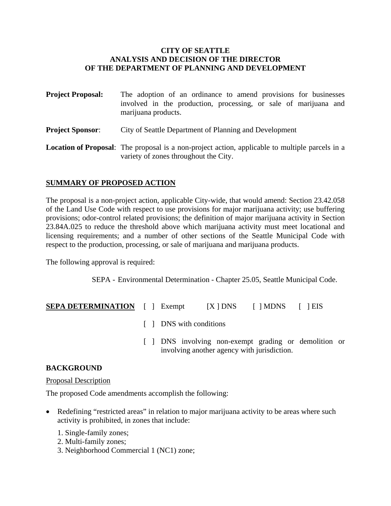#### **CITY OF SEATTLE ANALYSIS AND DECISION OF THE DIRECTOR OF THE DEPARTMENT OF PLANNING AND DEVELOPMENT**

| <b>Project Proposal:</b> | The adoption of an ordinance to amend provisions for businesses<br>involved in the production, processing, or sale of marijuana and<br>marijuana products. |
|--------------------------|------------------------------------------------------------------------------------------------------------------------------------------------------------|
| <b>Project Sponsor:</b>  | City of Seattle Department of Planning and Development                                                                                                     |
|                          | <b>Location of Proposal:</b> The proposal is a non-project action, applicable to multiple parcels in a<br>variety of zones throughout the City.            |

# **SUMMARY OF PROPOSED ACTION**

The proposal is a non-project action, applicable City-wide, that would amend: Section 23.42.058 of the Land Use Code with respect to use provisions for major marijuana activity; use buffering provisions; odor-control related provisions; the definition of major marijuana activity in Section 23.84A.025 to reduce the threshold above which marijuana activity must meet locational and licensing requirements; and a number of other sections of the Seattle Municipal Code with respect to the production, processing, or sale of marijuana and marijuana products.

The following approval is required:

SEPA - Environmental Determination - Chapter 25.05, Seattle Municipal Code.

| <b>SEPA DETERMINATION</b> | [ ] Exempt | $[X]$ DNS | $\lceil$   MDNS | $\lceil$   EIS |
|---------------------------|------------|-----------|-----------------|----------------|
|                           |            |           |                 |                |

- [ ] DNS with conditions
- [ ] DNS involving non-exempt grading or demolition or involving another agency with jurisdiction.

#### **BACKGROUND**

#### Proposal Description

The proposed Code amendments accomplish the following:

- Redefining "restricted areas" in relation to major marijuana activity to be areas where such activity is prohibited, in zones that include:
	- 1. Single-family zones;
	- 2. Multi-family zones;
	- 3. Neighborhood Commercial 1 (NC1) zone;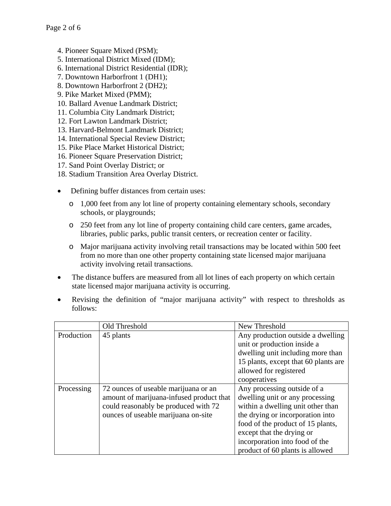- 4. Pioneer Square Mixed (PSM);
- 5. International District Mixed (IDM);
- 6. International District Residential (IDR);
- 7. Downtown Harborfront 1 (DH1);
- 8. Downtown Harborfront 2 (DH2);
- 9. Pike Market Mixed (PMM);
- 10. Ballard Avenue Landmark District;
- 11. Columbia City Landmark District;
- 12. Fort Lawton Landmark District;
- 13. Harvard-Belmont Landmark District;
- 14. International Special Review District;
- 15. Pike Place Market Historical District;
- 16. Pioneer Square Preservation District;
- 17. Sand Point Overlay District; or
- 18. Stadium Transition Area Overlay District.
- Defining buffer distances from certain uses:
	- o 1,000 feet from any lot line of property containing elementary schools, secondary schools, or playgrounds;
	- o 250 feet from any lot line of property containing child care centers, game arcades, libraries, public parks, public transit centers, or recreation center or facility.
	- o Major marijuana activity involving retail transactions may be located within 500 feet from no more than one other property containing state licensed major marijuana activity involving retail transactions.
- The distance buffers are measured from all lot lines of each property on which certain state licensed major marijuana activity is occurring.
- Revising the definition of "major marijuana activity" with respect to thresholds as follows:

|            | Old Threshold                            | New Threshold                        |
|------------|------------------------------------------|--------------------------------------|
| Production | 45 plants                                | Any production outside a dwelling    |
|            |                                          | unit or production inside a          |
|            |                                          | dwelling unit including more than    |
|            |                                          | 15 plants, except that 60 plants are |
|            |                                          | allowed for registered               |
|            |                                          | cooperatives                         |
| Processing | 72 ounces of useable marijuana or an     | Any processing outside of a          |
|            | amount of marijuana-infused product that | dwelling unit or any processing      |
|            | could reasonably be produced with 72     | within a dwelling unit other than    |
|            | ounces of useable marijuana on-site      | the drying or incorporation into     |
|            |                                          | food of the product of 15 plants,    |
|            |                                          | except that the drying or            |
|            |                                          | incorporation into food of the       |
|            |                                          | product of 60 plants is allowed      |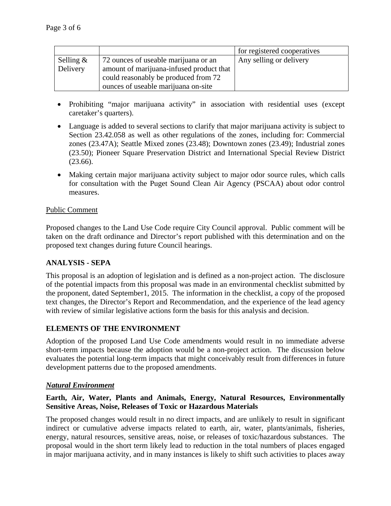|                 |                                          | for registered cooperatives |
|-----------------|------------------------------------------|-----------------------------|
| Selling $\&$    | 72 ounces of useable marijuana or an     | Any selling or delivery     |
| <b>Delivery</b> | amount of marijuana-infused product that |                             |
|                 | could reasonably be produced from 72     |                             |
|                 | ounces of useable marijuana on-site      |                             |

- Prohibiting "major marijuana activity" in association with residential uses (except caretaker's quarters).
- Language is added to several sections to clarify that major marijuana activity is subject to Section 23.42.058 as well as other regulations of the zones, including for: Commercial zones (23.47A); Seattle Mixed zones (23.48); Downtown zones (23.49); Industrial zones (23.50); Pioneer Square Preservation District and International Special Review District (23.66).
- Making certain major marijuana activity subject to major odor source rules, which calls for consultation with the Puget Sound Clean Air Agency (PSCAA) about odor control measures.

# Public Comment

Proposed changes to the Land Use Code require City Council approval. Public comment will be taken on the draft ordinance and Director's report published with this determination and on the proposed text changes during future Council hearings.

# **ANALYSIS - SEPA**

This proposal is an adoption of legislation and is defined as a non-project action. The disclosure of the potential impacts from this proposal was made in an environmental checklist submitted by the proponent, dated September1, 2015. The information in the checklist, a copy of the proposed text changes, the Director's Report and Recommendation, and the experience of the lead agency with review of similar legislative actions form the basis for this analysis and decision.

# **ELEMENTS OF THE ENVIRONMENT**

Adoption of the proposed Land Use Code amendments would result in no immediate adverse short-term impacts because the adoption would be a non-project action. The discussion below evaluates the potential long-term impacts that might conceivably result from differences in future development patterns due to the proposed amendments.

# *Natural Environment*

# **Earth, Air, Water, Plants and Animals, Energy, Natural Resources, Environmentally Sensitive Areas, Noise, Releases of Toxic or Hazardous Materials**

The proposed changes would result in no direct impacts, and are unlikely to result in significant indirect or cumulative adverse impacts related to earth, air, water, plants/animals, fisheries, energy, natural resources, sensitive areas, noise, or releases of toxic/hazardous substances. The proposal would in the short term likely lead to reduction in the total numbers of places engaged in major marijuana activity, and in many instances is likely to shift such activities to places away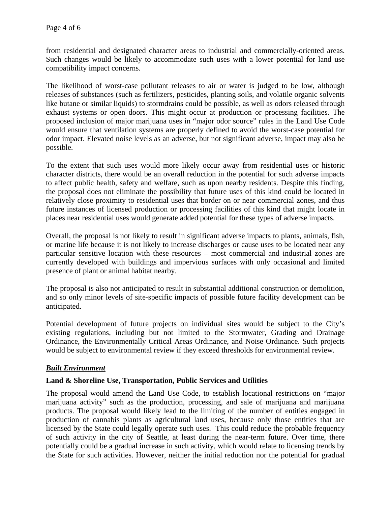from residential and designated character areas to industrial and commercially-oriented areas. Such changes would be likely to accommodate such uses with a lower potential for land use compatibility impact concerns.

The likelihood of worst-case pollutant releases to air or water is judged to be low, although releases of substances (such as fertilizers, pesticides, planting soils, and volatile organic solvents like butane or similar liquids) to stormdrains could be possible, as well as odors released through exhaust systems or open doors. This might occur at production or processing facilities. The proposed inclusion of major marijuana uses in "major odor source" rules in the Land Use Code would ensure that ventilation systems are properly defined to avoid the worst-case potential for odor impact. Elevated noise levels as an adverse, but not significant adverse, impact may also be possible.

To the extent that such uses would more likely occur away from residential uses or historic character districts, there would be an overall reduction in the potential for such adverse impacts to affect public health, safety and welfare, such as upon nearby residents. Despite this finding, the proposal does not eliminate the possibility that future uses of this kind could be located in relatively close proximity to residential uses that border on or near commercial zones, and thus future instances of licensed production or processing facilities of this kind that might locate in places near residential uses would generate added potential for these types of adverse impacts.

Overall, the proposal is not likely to result in significant adverse impacts to plants, animals, fish, or marine life because it is not likely to increase discharges or cause uses to be located near any particular sensitive location with these resources – most commercial and industrial zones are currently developed with buildings and impervious surfaces with only occasional and limited presence of plant or animal habitat nearby.

The proposal is also not anticipated to result in substantial additional construction or demolition, and so only minor levels of site-specific impacts of possible future facility development can be anticipated.

Potential development of future projects on individual sites would be subject to the City's existing regulations, including but not limited to the Stormwater, Grading and Drainage Ordinance, the Environmentally Critical Areas Ordinance, and Noise Ordinance. Such projects would be subject to environmental review if they exceed thresholds for environmental review.

# *Built Environment*

#### **Land & Shoreline Use, Transportation, Public Services and Utilities**

The proposal would amend the Land Use Code, to establish locational restrictions on "major marijuana activity" such as the production, processing, and sale of marijuana and marijuana products. The proposal would likely lead to the limiting of the number of entities engaged in production of cannabis plants as agricultural land uses, because only those entities that are licensed by the State could legally operate such uses. This could reduce the probable frequency of such activity in the city of Seattle, at least during the near-term future. Over time, there potentially could be a gradual increase in such activity, which would relate to licensing trends by the State for such activities. However, neither the initial reduction nor the potential for gradual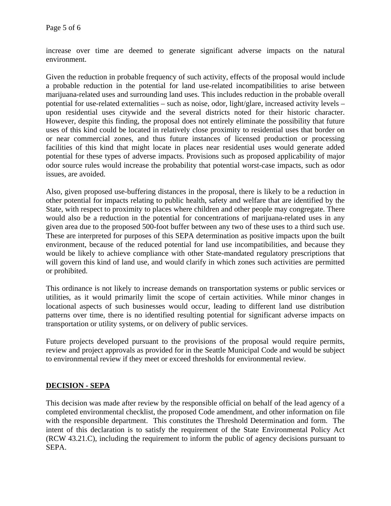increase over time are deemed to generate significant adverse impacts on the natural environment.

Given the reduction in probable frequency of such activity, effects of the proposal would include a probable reduction in the potential for land use-related incompatibilities to arise between marijuana-related uses and surrounding land uses. This includes reduction in the probable overall potential for use-related externalities – such as noise, odor, light/glare, increased activity levels – upon residential uses citywide and the several districts noted for their historic character. However, despite this finding, the proposal does not entirely eliminate the possibility that future uses of this kind could be located in relatively close proximity to residential uses that border on or near commercial zones, and thus future instances of licensed production or processing facilities of this kind that might locate in places near residential uses would generate added potential for these types of adverse impacts. Provisions such as proposed applicability of major odor source rules would increase the probability that potential worst-case impacts, such as odor issues, are avoided.

Also, given proposed use-buffering distances in the proposal, there is likely to be a reduction in other potential for impacts relating to public health, safety and welfare that are identified by the State, with respect to proximity to places where children and other people may congregate. There would also be a reduction in the potential for concentrations of marijuana-related uses in any given area due to the proposed 500-foot buffer between any two of these uses to a third such use. These are interpreted for purposes of this SEPA determination as positive impacts upon the built environment, because of the reduced potential for land use incompatibilities, and because they would be likely to achieve compliance with other State-mandated regulatory prescriptions that will govern this kind of land use, and would clarify in which zones such activities are permitted or prohibited.

This ordinance is not likely to increase demands on transportation systems or public services or utilities, as it would primarily limit the scope of certain activities. While minor changes in locational aspects of such businesses would occur, leading to different land use distribution patterns over time, there is no identified resulting potential for significant adverse impacts on transportation or utility systems, or on delivery of public services.

Future projects developed pursuant to the provisions of the proposal would require permits, review and project approvals as provided for in the Seattle Municipal Code and would be subject to environmental review if they meet or exceed thresholds for environmental review.

# **DECISION - SEPA**

This decision was made after review by the responsible official on behalf of the lead agency of a completed environmental checklist, the proposed Code amendment, and other information on file with the responsible department. This constitutes the Threshold Determination and form. The intent of this declaration is to satisfy the requirement of the State Environmental Policy Act (RCW 43.21.C), including the requirement to inform the public of agency decisions pursuant to SEPA.